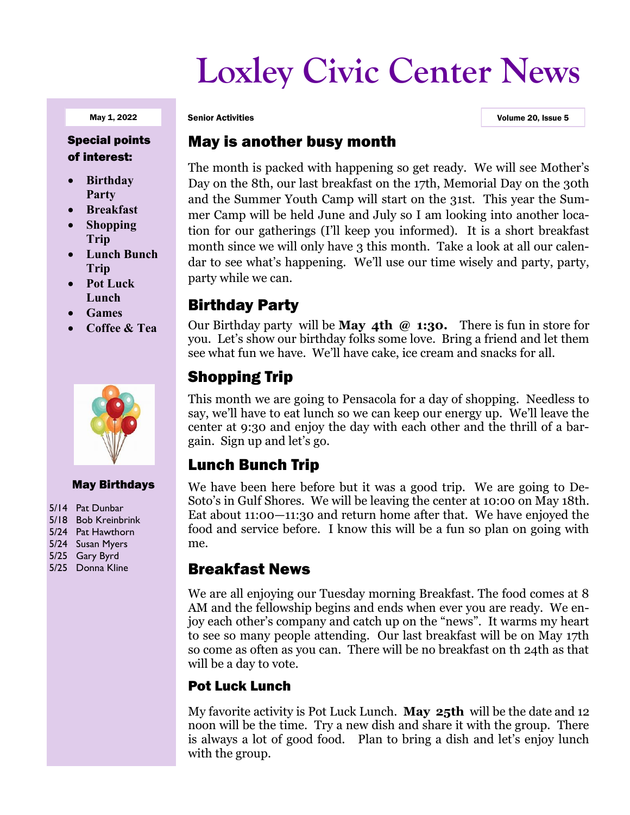# **Loxley Civic Center News**

#### Special points of interest:

- **Birthday Party**
- **Breakfast**
- **Shopping Trip**
- **Lunch Bunch Trip**
- **Pot Luck Lunch**
- **Games**
- **Coffee & Tea**



#### May Birthdays

- 5/14 Pat Dunbar
- 5/18 Bob Kreinbrink
- 5/24 Pat Hawthorn
- 5/24 Susan Myers
- 5/25 Gary Byrd
- 5/25 Donna Kline

May 1, 2022 Senior Activities Volume 20, Issue 5

## May is another busy month

The month is packed with happening so get ready. We will see Mother's Day on the 8th, our last breakfast on the 17th, Memorial Day on the 30th and the Summer Youth Camp will start on the 31st. This year the Summer Camp will be held June and July so I am looking into another location for our gatherings (I'll keep you informed). It is a short breakfast month since we will only have 3 this month. Take a look at all our calendar to see what's happening. We'll use our time wisely and party, party, party while we can.

# Birthday Party

Our Birthday party will be **May 4th @ 1:30.** There is fun in store for you. Let's show our birthday folks some love. Bring a friend and let them see what fun we have. We'll have cake, ice cream and snacks for all.

# Shopping Trip

This month we are going to Pensacola for a day of shopping. Needless to say, we'll have to eat lunch so we can keep our energy up. We'll leave the center at 9:30 and enjoy the day with each other and the thrill of a bargain. Sign up and let's go.

# Lunch Bunch Trip

We have been here before but it was a good trip. We are going to De-Soto's in Gulf Shores. We will be leaving the center at 10:00 on May 18th. Eat about 11:00—11:30 and return home after that. We have enjoyed the food and service before. I know this will be a fun so plan on going with me.

## Breakfast News

We are all enjoying our Tuesday morning Breakfast. The food comes at 8 AM and the fellowship begins and ends when ever you are ready. We enjoy each other's company and catch up on the "news". It warms my heart to see so many people attending. Our last breakfast will be on May 17th so come as often as you can. There will be no breakfast on th 24th as that will be a day to vote.

### Pot Luck Lunch

My favorite activity is Pot Luck Lunch. **May 25th** will be the date and 12 noon will be the time. Try a new dish and share it with the group. There is always a lot of good food. Plan to bring a dish and let's enjoy lunch with the group.